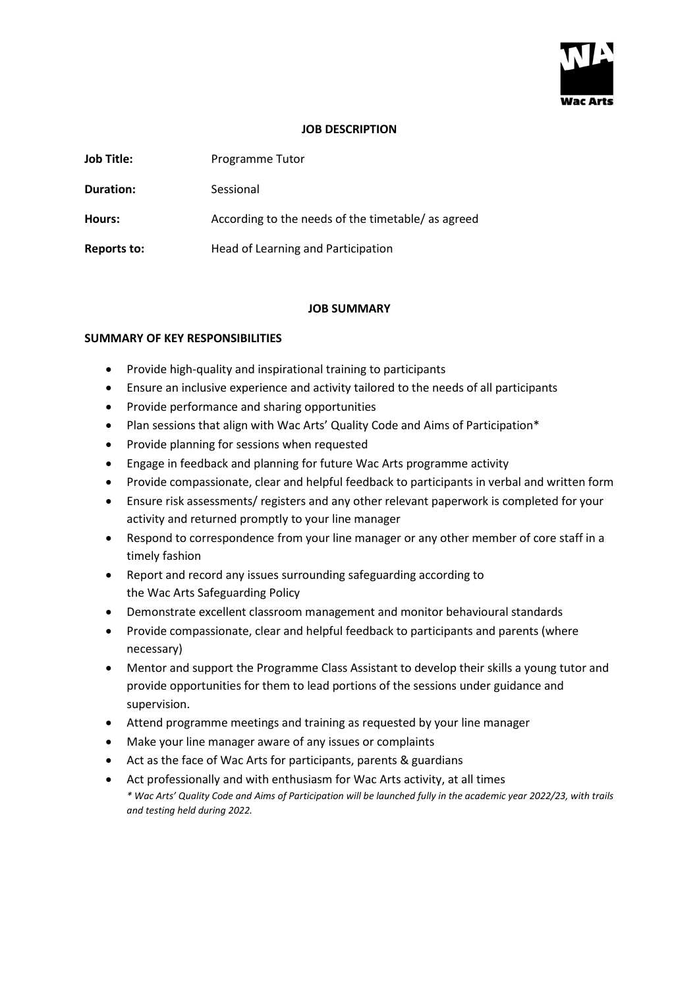

## **JOB DESCRIPTION**

| <b>Job Title:</b> | Programme Tutor                                    |
|-------------------|----------------------------------------------------|
| <b>Duration:</b>  | Sessional                                          |
| Hours:            | According to the needs of the timetable/ as agreed |
| Reports to:       | Head of Learning and Participation                 |

# **JOB SUMMARY**

# **SUMMARY OF KEY RESPONSIBILITIES**

- Provide high-quality and inspirational training to participants
- Ensure an inclusive experience and activity tailored to the needs of all participants
- Provide performance and sharing opportunities
- Plan sessions that align with Wac Arts' Quality Code and Aims of Participation\*
- Provide planning for sessions when requested
- Engage in feedback and planning for future Wac Arts programme activity
- Provide compassionate, clear and helpful feedback to participants in verbal and written form
- Ensure risk assessments/ registers and any other relevant paperwork is completed for your activity and returned promptly to your line manager
- Respond to correspondence from your line manager or any other member of core staff in a timely fashion
- Report and record any issues surrounding safeguarding according to the Wac Arts Safeguarding Policy
- Demonstrate excellent classroom management and monitor behavioural standards
- Provide compassionate, clear and helpful feedback to participants and parents (where necessary)
- Mentor and support the Programme Class Assistant to develop their skills a young tutor and provide opportunities for them to lead portions of the sessions under guidance and supervision.
- Attend programme meetings and training as requested by your line manager
- Make your line manager aware of any issues or complaints
- Act as the face of Wac Arts for participants, parents & guardians
- Act professionally and with enthusiasm for Wac Arts activity, at all times *\* Wac Arts' Quality Code and Aims of Participation will be launched fully in the academic year 2022/23, with trails and testing held during 2022.*